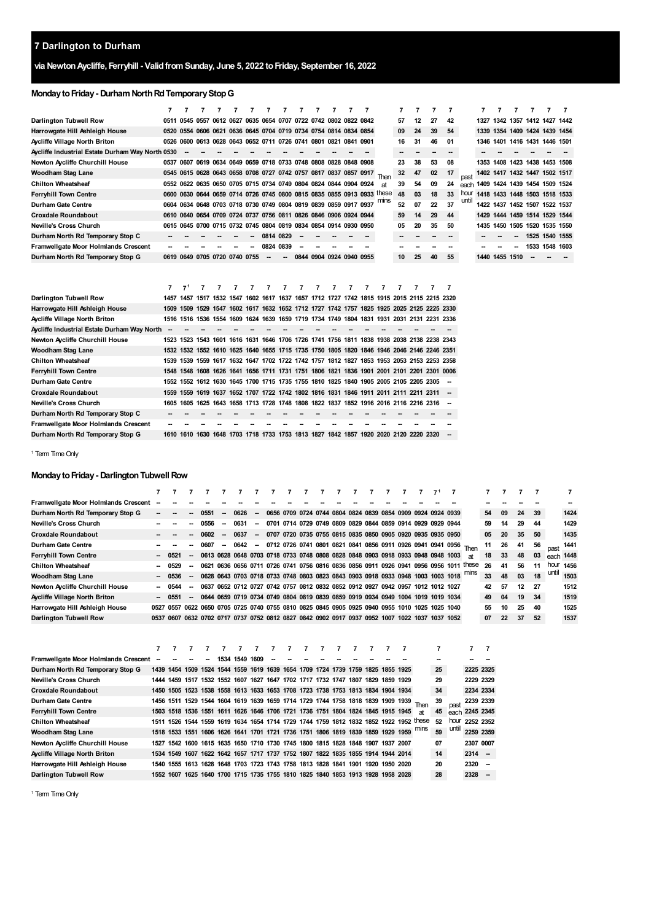# **Darlington to Durham**

**via NewtonAycliffe, Ferryhill - ValidfromSunday, June 5, 2022 toFriday, September 16, 2022**

# **MondaytoFriday- DurhamNorthRdTemporaryStopG**

|                                                  |      |     |                                                                  |  | 7         |        | 7    |                     |  |                                                                        |      |                | 7            |                |    |       |      |           |  |                               |  |
|--------------------------------------------------|------|-----|------------------------------------------------------------------|--|-----------|--------|------|---------------------|--|------------------------------------------------------------------------|------|----------------|--------------|----------------|----|-------|------|-----------|--|-------------------------------|--|
| Darlington Tubwell Row                           |      |     | 0511 0545 0557 0612 0627 0635 0654 0707 0722 0742 0802 0822 0842 |  |           |        |      |                     |  |                                                                        |      | 57             | 12           | 27             | 42 |       |      |           |  | 1327 1342 1357 1412 1427 1442 |  |
| Harrowgate Hill Ashleigh House                   |      |     | 0520 0554 0606 0621 0636 0645 0704 0719 0734 0754 0814 0834 0854 |  |           |        |      |                     |  |                                                                        |      | 09             | 24           | 39             | 54 |       |      |           |  | 1339 1354 1409 1424 1439 1454 |  |
| Aycliffe Village North Briton                    | 0526 |     | 0600 0613 0628 0643 0652 0711 0726 0741 0801 0821 0841 0901      |  |           |        |      |                     |  |                                                                        |      | 16             | 31           | 46             | 01 |       |      |           |  | 1346 1401 1416 1431 1446 1501 |  |
| Aycliffe Industrial Estate Durham Way North 0530 |      |     |                                                                  |  |           |        |      |                     |  |                                                                        |      |                |              |                |    |       |      |           |  |                               |  |
| Newton Aycliffe Churchill House                  |      |     | 0537 0607 0619 0634 0649 0659 0718 0733 0748 0808 0828 0848 0908 |  |           |        |      |                     |  |                                                                        |      | 23             | 38           | 53             | 08 |       | 1353 |           |  | 1408 1423 1438 1453 1508      |  |
| Woodham Stag Lane                                |      |     |                                                                  |  |           |        |      |                     |  | 0545 0615 0628 0643 0658 0708 0727 0742 0757 0817 0837 0857 0917 Then  |      | 32             | 47           | 02             | 17 |       |      |           |  | 1402 1417 1432 1447 1502 1517 |  |
| <b>Chilton Wheatsheaf</b>                        |      |     | 0552 0622 0635 0650 0705 0715 0734 0749 0804 0824 0844 0904 0924 |  |           |        |      |                     |  |                                                                        | аt   | 39             | 54           | 09             | 24 | each  |      |           |  | 1409 1424 1439 1454 1509 1524 |  |
| <b>Ferryhill Town Centre</b>                     |      |     |                                                                  |  |           |        |      |                     |  | 0600 0630 0644 0659 0714 0726 0745 0800 0815 0835 0855 0913 0933 these |      | 48             | 03           | 18             | 33 | hour  |      |           |  | 1418 1433 1448 1503 1518 1533 |  |
| <b>Durham Gate Centre</b>                        |      |     |                                                                  |  |           |        |      |                     |  | 0604 0634 0648 0703 0718 0730 0749 0804 0819 0839 0859 0917 0937       | mins | 52             | 07           | 22             | 37 | until |      |           |  | 1422 1437 1452 1507 1522 1537 |  |
| <b>Croxdale Roundabout</b>                       |      |     | 0610 0640 0654 0709 0724 0737 0756 0811 0826 0846 0906 0924 0944 |  |           |        |      |                     |  |                                                                        |      | 59             | 14           | 29             | 44 |       |      |           |  | 1429 1444 1459 1514 1529 1544 |  |
| Neville's Cross Church                           |      |     | 0615 0645 0700 0715 0732 0745 0804 0819 0834 0854 0914 0930 0950 |  |           |        |      |                     |  |                                                                        |      | 05             | 20           | 35             | 50 |       |      |           |  | 1435 1450 1505 1520 1535 1550 |  |
| Durham North Rd Temporary Stop C                 |      |     |                                                                  |  | 0814 0829 |        |      |                     |  |                                                                        |      |                |              |                |    |       |      |           |  | 1525 1540 1555                |  |
| Framwellgate Moor Holmlands Crescent             |      |     |                                                                  |  | 0824 0839 |        | --   |                     |  |                                                                        |      |                |              |                |    |       |      |           |  | 1533 1548 1603                |  |
| Durham North Rd Temporary Stop G                 |      |     | 0619 0649 0705 0720 0740 0755                                    |  |           |        | 0844 | 0904 0924 0940 0955 |  |                                                                        |      | 10             | 25           | 40             | 55 |       | 1440 | 1455 1510 |  |                               |  |
|                                                  |      |     |                                                                  |  |           |        |      |                     |  |                                                                        |      |                |              |                |    |       |      |           |  |                               |  |
|                                                  |      |     |                                                                  |  |           |        |      |                     |  |                                                                        |      |                |              |                |    |       |      |           |  |                               |  |
|                                                  |      | -71 | $\mathbf{z}$                                                     |  |           | 777777 |      |                     |  | 777                                                                    |      | $\overline{ }$ | $\mathbf{z}$ | $\overline{z}$ |    |       |      |           |  |                               |  |

|                                             | 71 |  | $\overline{7}$                                                                       | $\overline{7}$ |  |  | 777777 | $\overline{7}$ | $\overline{7}$ |                                                                                           |  |
|---------------------------------------------|----|--|--------------------------------------------------------------------------------------|----------------|--|--|--------|----------------|----------------|-------------------------------------------------------------------------------------------|--|
| Darlington Tubwell Row                      |    |  |                                                                                      |                |  |  |        |                |                | 1457 1457 1517 1532 1547 1602 1617 1637 1657 1712 1727 1742 1815 1915 2015 2115 2215 2320 |  |
| Harrowgate Hill Ashleigh House              |    |  |                                                                                      |                |  |  |        |                |                | 1509 1509 1529 1547 1602 1617 1632 1652 1712 1727 1742 1757 1825 1925 2025 2125 2225 2330 |  |
| <b>Aycliffe Village North Briton</b>        |    |  |                                                                                      |                |  |  |        |                |                | 1516 1516 1536 1554 1609 1624 1639 1659 1719 1734 1749 1804 1831 1931 2031 2131 2231 2336 |  |
| Aycliffe Industrial Estate Durham Way North |    |  |                                                                                      |                |  |  |        |                |                |                                                                                           |  |
| Newton Aycliffe Churchill House             |    |  |                                                                                      |                |  |  |        |                |                | 1523 1523 1543 1601 1616 1631 1646 1706 1726 1741 1756 1811 1838 1938 2038 2138 2238 2343 |  |
| Woodham Stag Lane                           |    |  |                                                                                      |                |  |  |        |                |                | 1532 1532 1552 1610 1625 1640 1655 1715 1735 1750 1805 1820 1846 1946 2046 2146 2246 2351 |  |
| <b>Chilton Wheatsheaf</b>                   |    |  |                                                                                      |                |  |  |        |                |                | 1539 1539 1559 1617 1632 1647 1702 1722 1742 1757 1812 1827 1853 1953 2053 2153 2253 2358 |  |
| <b>Ferryhill Town Centre</b>                |    |  |                                                                                      |                |  |  |        |                |                | 1548 1548 1608 1626 1641 1656 1711 1731 1751 1806 1821 1836 1901 2001 2101 2201 2301 0006 |  |
| Durham Gate Centre                          |    |  |                                                                                      |                |  |  |        |                |                | 1552 1552 1612 1630 1645 1700 1715 1735 1755 1810 1825 1840 1905 2005 2105 2205 2305      |  |
| <b>Croxdale Roundabout</b>                  |    |  |                                                                                      |                |  |  |        |                |                | 1559 1559 1619 1637 1652 1707 1722 1742 1802 1816 1831 1846 1911 2011 2111 2211 2311      |  |
| <b>Neville's Cross Church</b>               |    |  |                                                                                      |                |  |  |        |                |                | 1605 1605 1625 1643 1658 1713 1728 1748 1808 1822 1837 1852 1916 2016 2116 2216 2316      |  |
| Durham North Rd Temporary Stop C            |    |  |                                                                                      |                |  |  |        |                |                |                                                                                           |  |
| Framwellgate Moor Holmlands Crescent        |    |  |                                                                                      |                |  |  |        |                |                |                                                                                           |  |
| Durham North Rd Temporary Stop G            |    |  | 1610 1610 1630 1648 1703 1718 1733 1753 1813 1827 1842 1857 1920 2020 2120 2220 2320 |                |  |  |        |                |                |                                                                                           |  |

<span id="page-0-0"></span><sup>1</sup> Term Time Only

## **Monday to Friday - Darlington Tubwell Row**

| Framwellgate Moor Holmlands Crescent |   |                                                                                                |      |                          |          |                          |                                                                                      |  |  |  |                                                             |  |                                                                                                  |    |    |    |    |    |       |           |
|--------------------------------------|---|------------------------------------------------------------------------------------------------|------|--------------------------|----------|--------------------------|--------------------------------------------------------------------------------------|--|--|--|-------------------------------------------------------------|--|--------------------------------------------------------------------------------------------------|----|----|----|----|----|-------|-----------|
| Durham North Rd Temporary Stop G     |   |                                                                                                | 0551 |                          | 0626     | $\overline{\phantom{a}}$ |                                                                                      |  |  |  | 0656 0709 0724 0744 0804 0824 0839 0854 0909 0924 0924 0939 |  |                                                                                                  |    | 54 | 09 | 24 | 39 |       | 1424      |
| <b>Neville's Cross Church</b>        |   |                                                                                                | 0556 | --                       | 0631     |                          |                                                                                      |  |  |  | 0701 0714 0729 0749 0809 0829 0844 0859 0914 0929 0929 0944 |  |                                                                                                  |    | 59 | 14 | 29 | 44 |       | 1429      |
| <b>Croxdale Roundabout</b>           |   |                                                                                                | 0602 | $\overline{\phantom{a}}$ | 0637     | $\sim$                   | 0707 0720 0735 0755 0815 0835 0850 0905 0920 0935 0935 0950                          |  |  |  |                                                             |  |                                                                                                  |    | 05 | 20 | 35 | 50 |       | 1435      |
| Durham Gate Centre                   |   |                                                                                                | 0607 | $\sim$                   | $0642 -$ |                          |                                                                                      |  |  |  |                                                             |  | 0712 0726 0741 0801 0821 0841 0856 0911 0926 0941 0941 0956 Then                                 |    | 11 | 26 | 41 | 56 | past  | 1441      |
| <b>Ferryhill Town Centre</b>         | - | 0521                                                                                           |      |                          |          |                          | 0613 0628 0648 0703 0718 0733 0748 0808 0828 0848 0903 0918 0933 0948 0948 1003      |  |  |  |                                                             |  |                                                                                                  | яt | 18 | 33 | 48 | 03 |       | each 1448 |
| <b>Chilton Wheatsheaf</b>            |   |                                                                                                |      |                          |          |                          |                                                                                      |  |  |  |                                                             |  | 0621 0636 0656 0711 0726 0741 0756 0816 0836 0856 0911 0926 0941 0956 0956 1011 <sup>these</sup> |    | 26 | 41 | 56 | 11 | hour  | 1456      |
| Woodham Stag Lane                    | - | 0536                                                                                           |      |                          |          |                          |                                                                                      |  |  |  |                                                             |  | 0628 0643 0703 0718 0733 0748 0803 0823 0843 0903 0918 0933 0948 1003 1003 1018 <sup>mins</sup>  |    | 33 | 48 | 03 | 18 | until | 1503      |
| Newton Aycliffe Churchill House      |   | 0544                                                                                           |      |                          |          |                          | 0637 0652 0712 0727 0742 0757 0812 0832 0852 0912 0927 0942 0957 1012 1012 1027      |  |  |  |                                                             |  |                                                                                                  |    | 42 | 57 | 12 | 27 |       | 1512      |
| <b>Aycliffe Village North Briton</b> | - | 0551                                                                                           |      |                          |          |                          | 0644 0659 0719 0734 0749 0804 0819 0839 0859 0919 0934 0949 1004 1019 1019 1034      |  |  |  |                                                             |  |                                                                                                  |    | 49 | 04 | 19 | 34 |       | 1519      |
| Harrowgate Hill Ashleigh House       |   | 0527 0557                                                                                      |      |                          |          |                          | 0622 0650 0705 0725 0740 0755 0810 0825 0845 0905 0925 0940 0955 1010 1025 1025 1040 |  |  |  |                                                             |  |                                                                                                  |    | 55 | 10 | 25 | 40 |       | 1525      |
| Darlington Tubwell Row               |   | 0537 0607 0632 0702 0717 0737 0752 0812 0827 0842 0902 0917 0937 0952 1007 1022 1037 1037 1052 |      |                          |          |                          |                                                                                      |  |  |  |                                                             |  |                                                                                                  |    | 07 | 22 | 37 | 52 |       | 1537      |
|                                      |   |                                                                                                |      |                          |          |                          |                                                                                      |  |  |  |                                                             |  |                                                                                                  |    |    |    |    |    |       |           |

|                                      |        |                                                                                 |        |                |  | 7 |  |  |  |                                                                                       |    |       |           |                |
|--------------------------------------|--------|---------------------------------------------------------------------------------|--------|----------------|--|---|--|--|--|---------------------------------------------------------------------------------------|----|-------|-----------|----------------|
| Framwellgate Moor Holmlands Crescent | $\sim$ |                                                                                 | $\sim$ | 1534 1549 1609 |  |   |  |  |  |                                                                                       |    |       |           |                |
| Durham North Rd Temporary Stop G     |        | 1439 1454 1509 1524 1544 1559 1619 1639 1654 1709 1724 1739 1759 1825 1855 1925 |        |                |  |   |  |  |  |                                                                                       | 25 |       | 2225 2325 |                |
| Neville's Cross Church               |        | 1444 1459 1517 1532 1552 1607 1627 1647 1702 1717 1732 1747 1807 1829 1859 1929 |        |                |  |   |  |  |  |                                                                                       | 29 |       |           | 2229 2329      |
| <b>Croxdale Roundabout</b>           |        | 1450 1505 1523 1538 1558 1613 1633 1653 1708 1723 1738 1753 1813 1834 1904 1934 |        |                |  |   |  |  |  |                                                                                       | 34 |       | 2234 2334 |                |
| <b>Durham Gate Centre</b>            |        |                                                                                 |        |                |  |   |  |  |  | 1456 1511 1529 1544 1604 1619 1639 1659 1714 1729 1744 1758 1818 1839 1909 1939 Then  | 39 | past  | 2239 2339 |                |
| <b>Ferryhill Town Centre</b>         |        | 1503 1518 1536 1551 1611 1626 1646 1706 1721 1736 1751 1804 1824 1845 1915 1945 |        |                |  |   |  |  |  | <b>at</b>                                                                             | 45 |       |           | each 2245 2345 |
| <b>Chilton Wheatsheaf</b>            |        |                                                                                 |        |                |  |   |  |  |  | 1511 1526 1544 1559 1619 1634 1654 1714 1729 1744 1759 1812 1832 1852 1922 1952 these | 52 | hour  | 2252 2352 |                |
| Woodham Stag Lane                    |        | 1518 1533 1551 1606 1626 1641 1701 1721 1736 1751 1806 1819 1839 1859 1929 1959 |        |                |  |   |  |  |  | mins                                                                                  | 59 | until |           | 2259 2359      |
| Newton Aycliffe Churchill House      |        | 1527 1542 1600 1615 1635 1650 1710 1730 1745 1800 1815 1828 1848 1907 1937 2007 |        |                |  |   |  |  |  |                                                                                       | 07 |       | 2307 0007 |                |
| <b>Aycliffe Village North Briton</b> |        | 1534 1549 1607 1622 1642 1657 1717 1737 1752 1807 1822 1835 1855 1914 1944 2014 |        |                |  |   |  |  |  |                                                                                       | 14 |       | $2314 -$  |                |
| Harrowgate Hill Ashleigh House       |        | 1540 1555 1613 1628 1648 1703 1723 1743 1758 1813 1828 1841 1901 1920 1950 2020 |        |                |  |   |  |  |  |                                                                                       | 20 |       | 2320      | - -            |
| <b>Darlington Tubwell Row</b>        |        | 1552 1607 1625 1640 1700 1715 1735 1755 1810 1825 1840 1853 1913 1928 1958 2028 |        |                |  |   |  |  |  |                                                                                       | 28 |       | 2328      | -              |

<sup>1</sup> Term Time Only